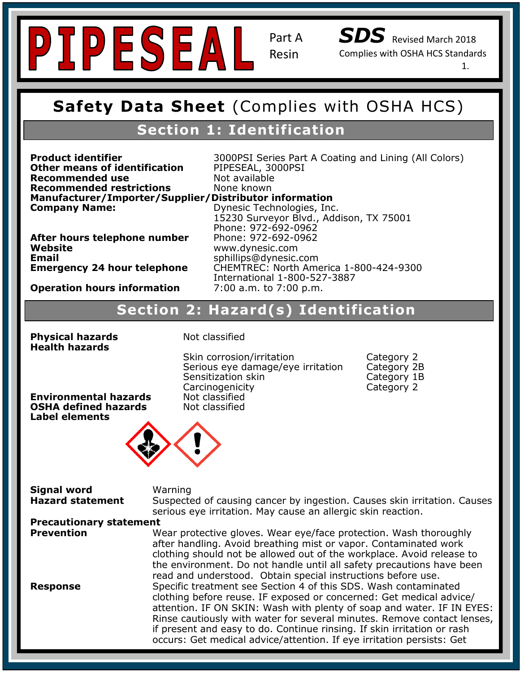

*SDS* Revised March 2018 Complies with OSHA HCS Standards

1.

#### **Safety Data Sheet (Complies with OSHA HCS Safety Data Sheet** (Complies with OSHA HCS)

## **Section 1: Identification**

**Recommended use** Not available **Recommended TestHctions<br>Manufacturer/Importer/Supplier/Distributor information Company Name: Other means of identification** PIPESEAL, 3000PSI **Recommended restrictions** None known

**Product identifier Signal 2000PSI** Series Part A Coating and Lining (All Colors)

Website **Email** 

**Recommended Use:** Chemical and temperature resistant, UV stabilized, ultra clear coating for indoor and **After hours telephone number** Phone: 972-692-0962 **Hazard Classification: Skin Irritant- Category 2 Z:00 a.m. to 7:00 p.m. Company Name:** Dynesic Technologies, Inc. 15230 Surveyor Blvd., Addison, TX 75001 Phone: 972-692-0962 **Website** www.dynesic.com **Email** sphillips@dynesic.com **Emergency 24 hour telephone** CHEMTREC: North America 1-800-424-9300 International 1-800-527-3887

Skin corrosion/irritation The Category 2<br>Serious eye damage/eye irritation Category 2B

Sensitization skin Category 1B Carcinogenicity Category 2

**Operation hours information** 7:00 a.m. to 7:00 p.m.

## **Hazard(s) Identification**<br> **Section 2: Hazard(s) Identification**

Serious eye damage/eye irritation

**PRECAUTIONARY SEARCH STATEMENTS: SEARCH ADVICE IS NEEDED, ACCESSINGLY CONTAINER CONTAINING CONTAINER STATEMENT**<br>Product container or label at handless container or label at handless container or label at hand. In the sear

**Physical hazards Not classified Health hazards**

Not classified Not classified

**Environmental hazards OSHA defined hazards Label elements**



## **Signal word Warning Warning**

**Hazard statement** Suspected of causing cancer by ingestion. Causes skin irritation. Causes serious eye irritation. May cause an allergic skin reaction.<br>\*\*

## **Precautionary statement**<br>**Prevention** W

**Prevention** Theoric Hazard: Near protective gloves. Wear eye/face protection. Wash thoroughly clothing should not be allowed out of the workplace. Avoid release to the environment. Do not handle until all safety precautions have been read and understood. Obtain special instructions before use. Specific dreatment see Section 4 or this SDS: wash contaminated<br>clothing before reuse. IF exposed or concerned: Get medical advice/ after handling. Avoid breathing mist or vapor. Contaminated work **Response Specific treatment see Section 4 of this SDS. Wash contaminated** attention. IF ON SKIN: Wash with plenty of soap and water. IF IN EYES: Rinse cautiously with water for several minutes. Remove contact lenses, if present and easy to do. Continue rinsing. If skin irritation or rash occurs: Get medical advice/attention. If eye irritation persists: Get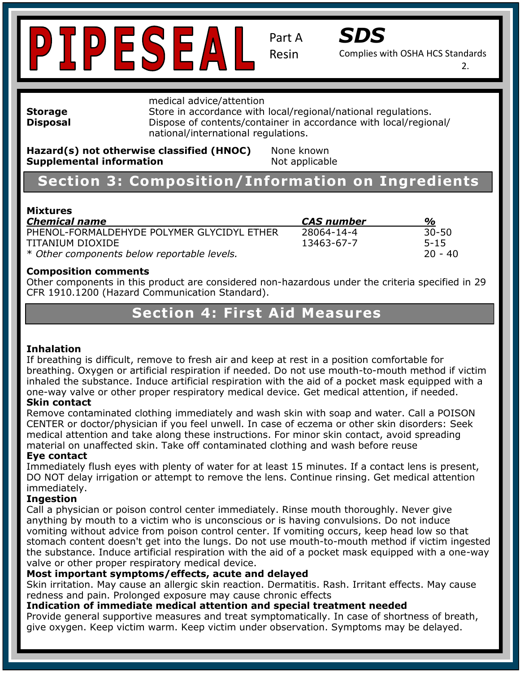



Complies with OSHA HCS Standards

2.

medical advice/attention

**Storage** Store in accordance with local/regional/national regulations. **Disposal Dispose of contents/container in accordance with local/regional/** national/international regulations.

**Hazard(s) not otherwise classified (HNOC)** None known<br>Sunnlomantal information **Supplemental information Not applicable** 

#### **Section 3: Composition/Information on Ingredients Contact Information:** Dynesic Technologies, Inc. 15230 Surveyor Blvd., Addison, TX 75001

## **Mixtures**

| <b>Chemical name</b>                        | <i>CAS number</i> | $\%$      |
|---------------------------------------------|-------------------|-----------|
| PHENOL-FORMALDEHYDE POLYMER GLYCIDYL ETHER  | 28064-14-4        | $30 - 50$ |
| TITANIUM DIOXIDE                            | 13463-67-7        | $5 - 15$  |
| * Other components below reportable levels. |                   | -20 - 40  |

#### **Composition comments**

Other components in this product are considered non-hazardous under the criteria specified in 29 **Signal Word: Warning Section 2: Hazard(s) Identification** CFR 1910.1200 (Hazard Communication Standard).

## **Hazard Statement Section 4: First Aid Measures**

#### **Inhalation**

inhaled the substance. Induce artificial respiration with the aid of a pocket mask equipped with a one-way valve or other proper respiratory medical device. Get medical attention, if needed. If breathing is difficult, remove to fresh air and keep at rest in a position comfortable for breathing. Oxygen or artificial respiration if needed. Do not use mouth-to-mouth method if victim

#### **Skin contact**

P103: Read label before use. Remove contaminated clothing immediately and wash skin with soap and water. Call a POISON<br>CENTER as destan/abusisian if you feel unuall. In eace of essame as athor alin disardara: Goal: errorent of doctor, projection in you feer driven. In case of eczerna of other skin disorders: Set<br>medical attention and take along these instructions. For minor skin contact, avoid spreading medical attention and take along ancee included to military chinesentics, at each process CENTER or doctor/physician if you feel unwell. In case of eczema or other skin disorders: Seek

#### **Eye contact**

Immediately flush eyes with plenty of water for at least 15 minutes. If a contact lens is present, nmediately.<br>neog<del>l</del>ice: DO NOT delay irrigation or attempt to remove the lens. Continue rinsing. Get medical attention immediately.

#### **Ingestion**

**Ingestion**<br>Call a physician or poison control center immediately. Rinse mouth thoroughly. Never give Instability: 0 anything by mouth to a victim who is unconscious or is having convulsions. Do not induce vomiting without advice from poison control center. If vomiting occurs, keep head low so that the substance. Induce artificial respiration with the aid of a pocket mask equipped with a one-way valve or other proper respiratory medical device.<br>Mast immaging complemed offering and can stomach content doesn't get into the lungs. Do not use mouth-to-mouth method if victim ingested

#### **Most important symptoms/effects, acute and delayed**

**Fiost important symptoms, enects, acute and delayed**<br>Skin irritation. May cause an allergic skin reaction. Dermatitis. Rash. Irritant effects. May cause Personal Protection Index: C redness and pain. Prolonged exposure may cause chronic effects

#### **Indication of immediate medical attention and special treatment needed**

Provide general supportive measures and treat symptomatically. In case of shortness of breath, give oxygen. Keep victim warm. Keep victim under observation. Symptoms may be delayed.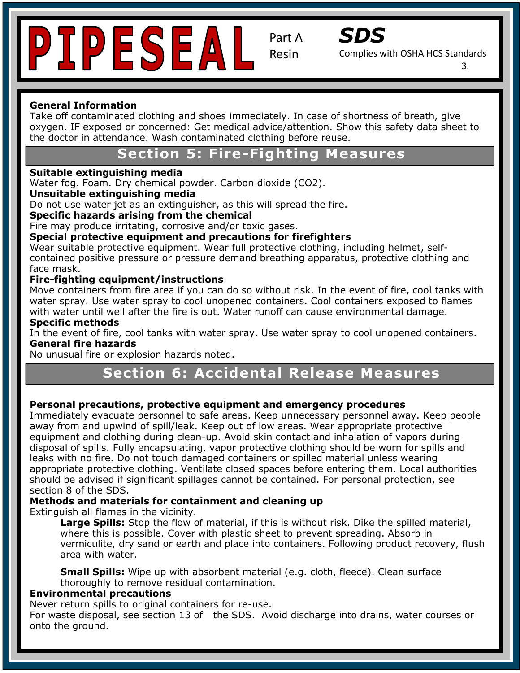



Complies with OSHA HCS Standards

3.

#### **General Information**

Take off contaminated clothing and shoes immediately. In case of shortness of breath, give<br>average JF avessed as sensexuad: Cet mediate advise/attention. Show this safety data shoes oxygen. IF exposed or concerned: Get medical advice/attention. Show this safety data sheet to the doctor in attendance. Wash contaminated clothing before reuse.

## **Section 5: Fire-Fighting Measures**

#### **Suitable extinguishing media**

Water fog. Foam. Dry chemical powder. Carbon dioxide (CO2).

#### **Contact Information: Inc. 15230 Surveyor Blvd., Addison, TX 75001 Surveyor Blvd., Addison, TX 75001 Surveyor Blvd., Addison, TX 7500101 Surveyor Blvd., Addison, TX 7500101 Surveyor Blvd., Addison, TX 750010101010101010101**

Do not use water jet as an extinguisher, as this will spread the fire.

#### **Specific hazards arising from the chemical**

Fire may produce irritating, corrosive and/or toxic gases.

## rile may produce imitating, corrosive and/or toxic gases.<br>**Special protective equipment and precautions for firefighters**

Special protective equipment and precaditoris for mengifiers<br>Wear suitable protective equipment. Wear full protective clothing, including helmet, selfcontained positive pressure or pressure demand breathing apparatus, protective clothing and face mask.

#### **Hazard Classification: Skin Irritant- Category 2 Fire-fighting equipment/instructions**

Move containers from fire area if you can do so without risk. In the event of fire, cool tanks with water spray. Ose water spray to coor unopened containers. Coor containers exposed to ha<br>with water until well after the fire is out. Water runoff can cause environmental damage. water spray. Use water spray to cool unopened containers. Cool containers exposed to flames

#### **Specific methods**

In the event of fire, cool tanks with water spray. Use water spray to cool unopened containers. **General fire hazards** 

No unusual fire or explosion hazards noted.

## **Precaution 6: Accidental Release Measures**

#### Personal precautions, protective equipment and emergency procedures

Immediately evacuate personnel to safe areas. Keep unnecessary personnel away. Keep people away from and upwind of spill/leak. Keep out of low areas. Wear appropriate protective<br>equipment and clothing during clean-up. Avoid skin contact and inhalation of vapors during equipment and clothing during clean-up. Avoid skin contact and imilalation or vapors during<br>disposal of spills. Fully encapsulating, vapor protective clothing should be worn for spills and appose of spins from y shoup salaring, reper processive creating ensure section for spins and<br>leaks with no fire. Do not touch damaged containers or spilled material unless wearing appropriate protective clothing. Ventilate closed spaces before entering them. Local authorities section 8 of the SDS. away from and upwind of spill/leak. Keep out of low areas. Wear appropriate protective should be advised if significant spillages cannot be contained. For personal protection, see

### Methods and materials for containment and cleaning up

Extinguish all flames in the vicinity.

alsh an harries in the vidnity.<br>Large Spills: Stop the flow of material, if this is without risk. Dike the spilled material, Large Spinst step the new of material, if this is mensat hand since the spinst in<br>where this is possible. Cover with plastic sheet to prevent spreading. Absorb in area with water. vermiculite, dry sand or earth and place into containers. Following product recovery, flush

**Small Spills:** Wipe up with absorbent material (e.g. cloth, fleece). Clean surface Unitary Denise in public association material (eigineerity insees). Siean sanated thoroughly to remove residual contamination.

#### Personal Protection Index: C **Environmental precautions**

Never return spills to original containers for re-use.

For waste disposal, see section 13 of the SDS. Avoid discharge into drains, water courses or onto the ground.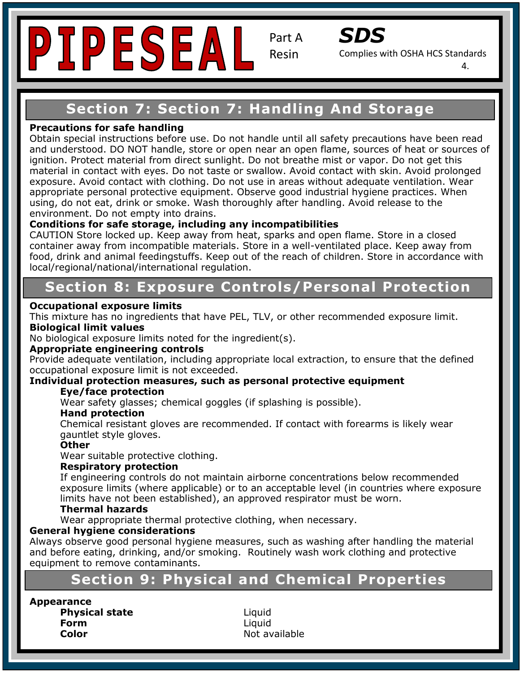



Complies with OSHA HCS Standards

4.

#### **Safety Data Sheet (Complies With OSHA HCS)**<br>The Complete With Observation with OSHA HCS **Section 7: Section 7: Handling And Storage**

#### **Precautions for safe handling**

exposure. Avoid contact with clothing. Do not use in areas without adequate ventilation. Wear appropriate personal protective equipment. Observe good industrial hygiene practices. When using, do not eat, drink or smoke. Wash thoroughly after handling. Avoid release to the Obtain special instructions before use. Do not handle until all safety precautions have been read and understood. DO NOT handle, store or open near an open flame, sources of heat or sources of ignition. Protect material from direct sunlight. Do not breathe mist or vapor. Do not get this material in contact with eyes. Do not taste or swallow. Avoid contact with skin. Avoid prolonged environment. Do not empty into drains.

## **Emergency Contact:** Same as Above **Conditions for safe storage, including any incompatibilities**

**Conditions for sare storage, including any incompatibilities**<br>CAUTION Store locked up. Keep away from heat, sparks and open flame. Store in a closed container away from incompatible materials. Store in a well-ventilated place. Keep away from food, drink and animal feedingstuffs. Keep out of the reach of children. Store in accordance with local/regional/national/international regulation.

#### **Hazard Classification: Skin Irritant- Category 2 Section 8: Exposure Controls/Personal Protection**

#### **A Hazard Statement exposure limits <b>and allergic skin reaction**  $\mathbf{z}$  is a set of the skin reaction.

**Biological limit values** This mixture has no ingredients that have PEL, TLV, or other recommended exposure limit.

No biological exposure limits noted for the ingredient(s).

#### **Appropriate engineering controls**

Provide adequate ventilation, including appropriate local extraction, to ensure that the defined occupational exposure limit is not exceeded.

#### Individual protection measures, such as personal protective equipment

#### **Eye/face protection**

 $\mathbf{p}$ ndi $\mathbf{p}$ Wear safety glasses; chemical goggles (if splashing is possible).<br>...

#### **Hand protection**

P261: Avoid breathing dust/fume/gas/mist/vapors/spray. Chemical resistant gloves are recommended. If contact with forearms is likely wear<br>gauntlet style gloves P333+P313: If skin irritation/rash occurs, get medical attention. gauntlet style gloves.

#### **Other**

Wear suitable protective clothing. The suitable with local container with local containers with local containers with local containers with local containers with local containers with local containers with local containers

#### **Respiratory protection**

exposure limits (where applicable) or to an acceptable level (in countries where exposure limits of the contract of the second response of the contract of the contract of the contract of the contract of the contract of the limits have not been established), an approved respirator must be worn.<br>Thermal hazards If engineering controls do not maintain airborne concentrations below recommended

#### **Thermal hazards**

Instatute the two to be reached to contain the constance when the constance Wear appropriate thermal protective

#### **General hygiene considerations**

and before eating, drinking, and/or smoking. Routinely wash work clothing and protective equipment to remove contaminants. Always observe good personal hygiene measures, such as washing after handling the material

#### **Section 9: Physical and Chemical Properties** Personal Protection Index: C

**Appearance Physical state Liquid Form** Liquid **Color Color Not available**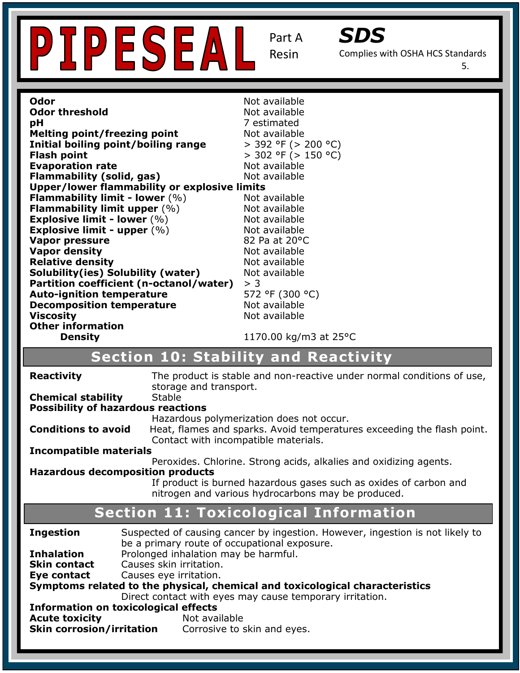



Complies with OSHA HCS Standards

5.

| Odor                                                              |                                                                   | Not available                                                          |  |
|-------------------------------------------------------------------|-------------------------------------------------------------------|------------------------------------------------------------------------|--|
| <b>Odor threshold</b>                                             |                                                                   | Not available                                                          |  |
| pH                                                                |                                                                   | 7 estimated                                                            |  |
| <b>Melting point/freezing point</b>                               |                                                                   | Not available                                                          |  |
| Initial boiling point/boiling range                               |                                                                   | $>$ 392 °F ( $>$ 200 °C)                                               |  |
| <b>Flash point</b>                                                |                                                                   | $>$ 302 °F ( $>$ 150 °C)                                               |  |
| <b>Evaporation rate</b>                                           |                                                                   | Not available                                                          |  |
| <b>Flammability (solid, gas)</b>                                  |                                                                   | Not available                                                          |  |
| Upper/lower flammability or explosive limits                      |                                                                   |                                                                        |  |
| <b>Flammability limit - lower <math>(\%)</math></b>               |                                                                   | Not available                                                          |  |
| Flammability limit upper $(\%)$                                   |                                                                   | Not available                                                          |  |
| <b>Explosive limit - lower (%)</b>                                |                                                                   | Not available                                                          |  |
| Explosive limit - upper $(\%)$                                    |                                                                   | Not available                                                          |  |
| Vapor pressure                                                    |                                                                   | 82 Pa at 20°C                                                          |  |
| <b>Vapor density</b>                                              |                                                                   | Not available                                                          |  |
| <b>Relative density</b>                                           |                                                                   | Not available                                                          |  |
| Solubility(ies) Solubility (water)                                |                                                                   | Not available                                                          |  |
| Partition coefficient (n-octanol/water)                           |                                                                   | > 3                                                                    |  |
| <b>Auto-ignition temperature</b>                                  |                                                                   | 572 °F (300 °C)                                                        |  |
| <b>Decomposition temperature</b>                                  |                                                                   | Not available                                                          |  |
| <b>Viscosity</b>                                                  |                                                                   | Not available                                                          |  |
| <b>Other information</b>                                          |                                                                   |                                                                        |  |
| <b>Density</b>                                                    |                                                                   | 1170.00 kg/m3 at 25°C                                                  |  |
|                                                                   |                                                                   | <b>Section 10: Stability and Reactivity</b>                            |  |
| <b>Reactivity</b>                                                 |                                                                   | The product is stable and non-reactive under normal conditions of use, |  |
|                                                                   | storage and transport.                                            |                                                                        |  |
| <b>Chemical stability</b>                                         | Stable                                                            |                                                                        |  |
| <b>Possibility of hazardous reactions</b>                         |                                                                   |                                                                        |  |
|                                                                   |                                                                   | Hazardous polymerization does not occur.                               |  |
| <b>Conditions to avoid</b>                                        |                                                                   | Heat, flames and sparks. Avoid temperatures exceeding the flash point. |  |
|                                                                   | Contact with incompatible materials.                              |                                                                        |  |
| <b>Incompatible materials</b>                                     |                                                                   |                                                                        |  |
| Peroxides. Chlorine. Strong acids, alkalies and oxidizing agents. |                                                                   |                                                                        |  |
| <b>Hazardous decomposition products</b>                           |                                                                   |                                                                        |  |
|                                                                   | If product is burned hazardous gases such as oxides of carbon and |                                                                        |  |
|                                                                   |                                                                   | nitrogen and various hydrocarbons may be produced.                     |  |
|                                                                   |                                                                   | <b>Section 11: Toxicological Information</b>                           |  |
|                                                                   |                                                                   |                                                                        |  |

| <b>Ingestion</b>                                                             | Suspected of causing cancer by ingestion. However, ingestion is not likely to<br>be a primary route of occupational exposure. |  |  |
|------------------------------------------------------------------------------|-------------------------------------------------------------------------------------------------------------------------------|--|--|
| <b>Inhalation</b>                                                            | Prolonged inhalation may be harmful.                                                                                          |  |  |
| <b>Skin contact</b>                                                          | Causes skin irritation.                                                                                                       |  |  |
| Eye contact                                                                  | Causes eye irritation.                                                                                                        |  |  |
| Symptoms related to the physical, chemical and toxicological characteristics |                                                                                                                               |  |  |
| Direct contact with eyes may cause temporary irritation.                     |                                                                                                                               |  |  |
| <b>Information on toxicological effects</b>                                  |                                                                                                                               |  |  |
| <b>Acute toxicity</b>                                                        | Not available                                                                                                                 |  |  |
| <b>Skin corrosion/irritation</b>                                             | Corrosive to skin and eyes.                                                                                                   |  |  |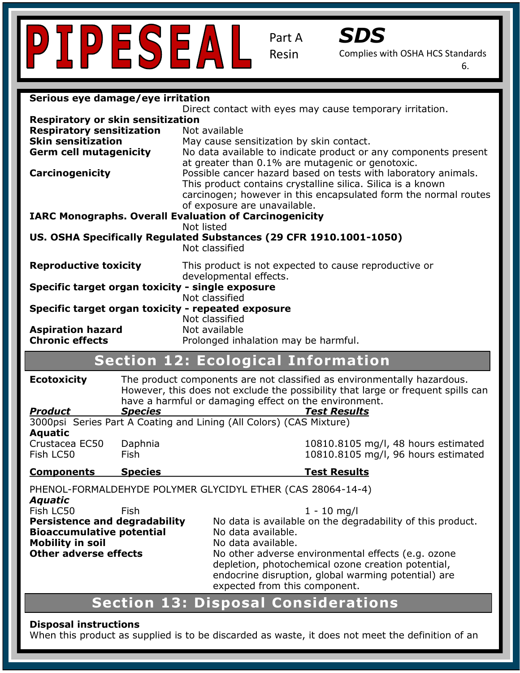



Complies with OSHA HCS Standards

6.

| Serious eye damage/eye irritation                                  |                |                                                                                                                                           |  |
|--------------------------------------------------------------------|----------------|-------------------------------------------------------------------------------------------------------------------------------------------|--|
|                                                                    |                | Direct contact with eyes may cause temporary irritation.                                                                                  |  |
| <b>Respiratory or skin sensitization</b>                           |                |                                                                                                                                           |  |
| <b>Respiratory sensitization</b>                                   |                | Not available                                                                                                                             |  |
| <b>Skin sensitization</b>                                          |                | May cause sensitization by skin contact.                                                                                                  |  |
| <b>Germ cell mutagenicity</b>                                      |                | No data available to indicate product or any components present<br>at greater than 0.1% are mutagenic or genotoxic.                       |  |
| <b>Carcinogenicity</b>                                             |                | Possible cancer hazard based on tests with laboratory animals.                                                                            |  |
|                                                                    |                | This product contains crystalline silica. Silica is a known                                                                               |  |
|                                                                    |                | carcinogen; however in this encapsulated form the normal routes                                                                           |  |
|                                                                    |                | of exposure are unavailable.                                                                                                              |  |
|                                                                    |                | <b>IARC Monographs. Overall Evaluation of Carcinogenicity</b>                                                                             |  |
|                                                                    |                | Not listed                                                                                                                                |  |
| US. OSHA Specifically Regulated Substances (29 CFR 1910.1001-1050) |                | Not classified                                                                                                                            |  |
| <b>Reproductive toxicity</b>                                       |                | This product is not expected to cause reproductive or<br>developmental effects.                                                           |  |
| Specific target organ toxicity - single exposure                   |                |                                                                                                                                           |  |
|                                                                    |                | Not classified<br>Specific target organ toxicity - repeated exposure                                                                      |  |
| <b>Aspiration hazard</b>                                           |                | Not classified<br>Not available                                                                                                           |  |
| <b>Chronic effects</b>                                             |                | Prolonged inhalation may be harmful.                                                                                                      |  |
|                                                                    |                |                                                                                                                                           |  |
| <b>Section 12: Ecological Information</b>                          |                |                                                                                                                                           |  |
| <b>Ecotoxicity</b>                                                 |                | The product components are not classified as environmentally hazardous.                                                                   |  |
|                                                                    |                | However, this does not exclude the possibility that large or frequent spills can<br>have a harmful or damaging effect on the environment. |  |
| <b>Product</b>                                                     | <b>Species</b> | <b>Test Results</b>                                                                                                                       |  |
|                                                                    |                | 3000psi Series Part A Coating and Lining (All Colors) (CAS Mixture)                                                                       |  |
| <b>Aquatic</b>                                                     |                |                                                                                                                                           |  |
| Crustacea EC50                                                     | Daphnia        | 10810.8105 mg/l, 48 hours estimated                                                                                                       |  |
| Fish LC50                                                          | Fish           | 10810.8105 mg/l, 96 hours estimated                                                                                                       |  |
| <b>Components</b>                                                  | <b>Species</b> | <b>Test Results</b>                                                                                                                       |  |
| PHENOL-FORMALDEHYDE POLYMER GLYCIDYL ETHER (CAS 28064-14-4)        |                |                                                                                                                                           |  |
| <b>Aquatic</b><br>Fish LC50                                        | Fish           |                                                                                                                                           |  |
| <b>Persistence and degradability</b>                               |                | $1 - 10$ mg/l<br>No data is available on the degradability of this product.                                                               |  |
| <b>Bioaccumulative potential</b>                                   |                | No data available.                                                                                                                        |  |
| <b>Mobility in soil</b>                                            |                | No data available.                                                                                                                        |  |
| <b>Other adverse effects</b>                                       |                | No other adverse environmental effects (e.g. ozone                                                                                        |  |
|                                                                    |                | depletion, photochemical ozone creation potential,                                                                                        |  |
|                                                                    |                | endocrine disruption, global warming potential) are<br>expected from this component.                                                      |  |
|                                                                    |                |                                                                                                                                           |  |
| <b>Section 13: Disposal Considerations</b>                         |                |                                                                                                                                           |  |
| <b>Disposal instructions</b>                                       |                |                                                                                                                                           |  |

When this product as supplied is to be discarded as waste, it does not meet the definition of an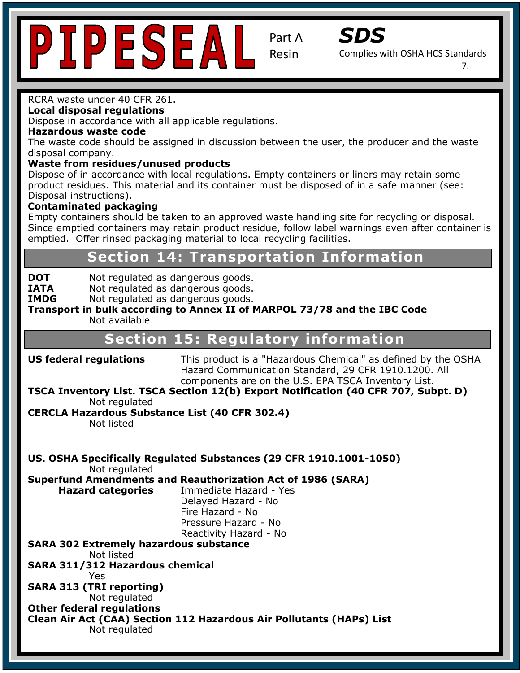



Complies with OSHA HCS Standards

7.

#### RCRA waste under 40 CFR 261.

**Local disposal regulations** 

**Eocal disposal regulations**<br>Dispose in accordance with all applicable regulations.

#### **Hazardous waste code**

**Section 1: Identification** The waste code should be assigned in discussion between the user, the producer and the waste disposal company.

#### **Waste from residues/unused products**

**Trade Name:** SC-4400 product residues. This material and its container must be disposed of in a safe manner (see: . **Contact Information: Inc. 15230 Surveyor Blvd., Addison, TX 75001** Surveyor Blvd., Addison, TX 75001 Surveyor Blvd., Addison, TX 75001, Addison, TX 75001, Addison, TX 75001, Addison, TX 75001, Addison, TX 75001, Addison Dispose of in accordance with local regulations. Empty containers or liners may retain some

#### **Contaminated packaging**

**Pictogram:**

Empty containers should be taken to an approved waste handling site for recycling or disposal. Since emptied containers may retain product residue, follow label warnings even after container is emptied. Offer rinsed packaging material to local recycling facilities.

#### **Chemical Section 14: Transportation Information**

**HAZAR Classification:** Not regulated as dangerous goods.

**SATA** Not regulated as dangerous goods.<br> **IMDC** Not regulated as dangerous goods.

**INTA MOTTEGURGED AS URITED US GOODS.**<br>IMDG MOTTEGURGED AS dangerous goods.

**Hazard Statement(s): H317 Prolonged exposure may cause an allergic skin reaction. Transport in bulk according to Annex II of MARPOL 73/78 and the IBC Code**  Not available

## **Section 15: Regulatory information**

components are on the U.S. EPA TSCA Inventory List. **US federal regulations** This product is a "Hazardous Chemical" as defined by the OSHA Hazard Communication Standard, 29 CFR 1910.1200. All

#### TSCA Inventory List. TSCA Section 12(b) Export Notification (40 CFR 707, Subpt. D)  $\frac{1}{2}$   $\frac{1}{2}$   $\frac{1}{2}$   $\frac{1}{2}$   $\frac{1}{2}$   $\frac{1}{2}$   $\frac{1}{2}$   $\frac{1}{2}$   $\frac{1}{2}$   $\frac{1}{2}$   $\frac{1}{2}$   $\frac{1}{2}$   $\frac{1}{2}$   $\frac{1}{2}$   $\frac{1}{2}$   $\frac{1}{2}$   $\frac{1}{2}$   $\frac{1}{2}$   $\frac{1}{2}$   $\frac{1}{2}$   $\frac{1}{2}$   $\frac{1}{2}$  Not regulated

## **CERCLA Hazardous Substance List (40 CFR 302.4)**  $\frac{N}{2}$

Not listed

**US. OSHA Specifically Regulated Substances (29 CFR 1910.1001-1050)**  and intl. regulations. Not regulated

**Superfund Amendments and Reauthorization Act of 1986 (SARA)** 

**Hazard categories** Delayed Hazard - No Internazard - No<br>Pressure Hazard - No Pressure Hazard: No.<br>Reactivity Hazard - No. **Immediate Hazard - Yes** Fire Hazard - No

#### **H**  $\blacksquare$  Not listed **SARA 302 Extremely hazardous substance**

SARA 311/312 Hazardous chemical  $\mathbf{I}$ Yes

 $\mathbf{P}$ **SARA 313 (TRI reporting)**  Not regulated

**Other federal regulations** 

**Clean Air Act (CAA) Section 112 Hazardous Air Pollutants (HAPs) List**  Not regulated